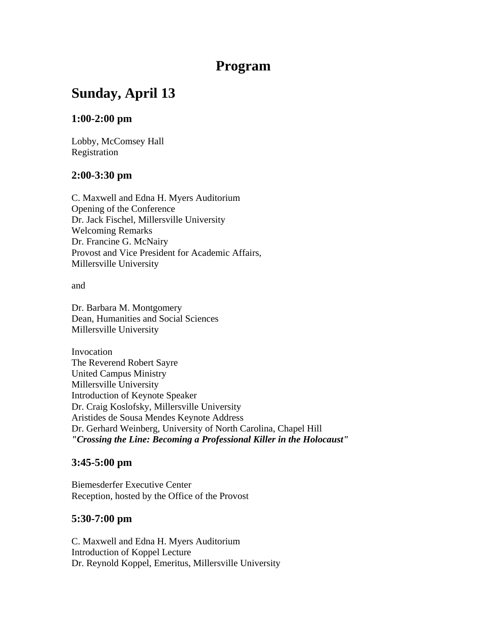## **Program**

# **Sunday, April 13**

## **1:00-2:00 pm**

Lobby, McComsey Hall Registration

## **2:00-3:30 pm**

C. Maxwell and Edna H. Myers Auditorium Opening of the Conference Dr. Jack Fischel, Millersville University Welcoming Remarks Dr. Francine G. McNairy Provost and Vice President for Academic Affairs, Millersville University

and

Dr. Barbara M. Montgomery Dean, Humanities and Social Sciences Millersville University

Invocation The Reverend Robert Sayre United Campus Ministry Millersville University Introduction of Keynote Speaker Dr. Craig Koslofsky, Millersville University Aristides de Sousa Mendes Keynote Address Dr. Gerhard Weinberg, University of North Carolina, Chapel Hill *"Crossing the Line: Becoming a Professional Killer in the Holocaust"*

## **3:45-5:00 pm**

Biemesderfer Executive Center Reception, hosted by the Office of the Provost

## **5:30-7:00 pm**

C. Maxwell and Edna H. Myers Auditorium Introduction of Koppel Lecture Dr. Reynold Koppel, Emeritus, Millersville University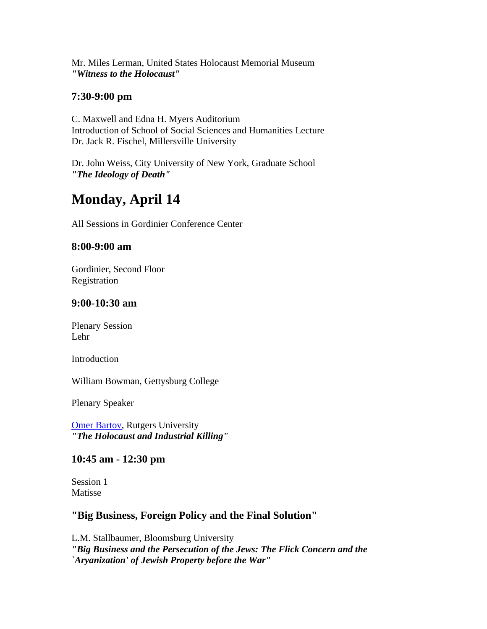Mr. Miles Lerman, United States Holocaust Memorial Museum *"Witness to the Holocaust"*

## **7:30-9:00 pm**

C. Maxwell and Edna H. Myers Auditorium Introduction of School of Social Sciences and Humanities Lecture Dr. Jack R. Fischel, Millersville University

Dr. John Weiss, City University of New York, Graduate School *"The Ideology of Death"*

# **Monday, April 14**

All Sessions in Gordinier Conference Center

## **8:00-9:00 am**

Gordinier, Second Floor Registration

#### **9:00-10:30 am**

Plenary Session Lehr

Introduction

William Bowman, Gettysburg College

Plenary Speaker

**[Omer Bartov](http://muweb.millersville.edu/%7Eholo-con/bartov.html), Rutgers University** *"The Holocaust and Industrial Killing"*

#### **10:45 am - 12:30 pm**

Session 1 Matisse

## **"Big Business, Foreign Policy and the Final Solution"**

L.M. Stallbaumer, Bloomsburg University *"Big Business and the Persecution of the Jews: The Flick Concern and the `Aryanization' of Jewish Property before the War"*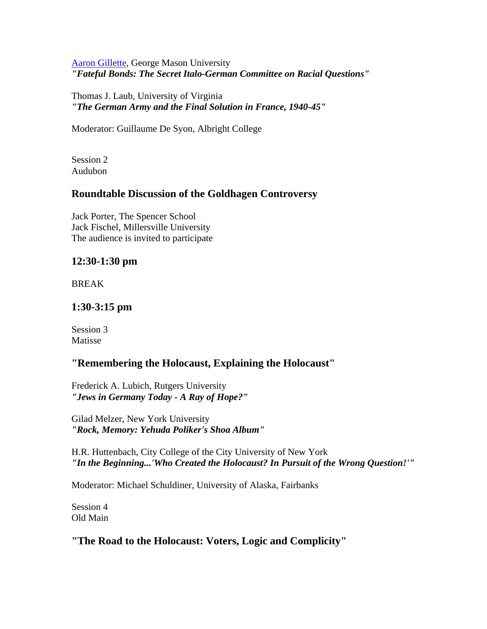#### [Aaron Gillette,](http://muweb.millersville.edu/%7Eholo-con/gillette.html) George Mason University *"Fateful Bonds: The Secret Italo-German Committee on Racial Questions"*

Thomas J. Laub, University of Virginia *"The German Army and the Final Solution in France, 1940-45"*

Moderator: Guillaume De Syon, Albright College

Session 2 Audubon

## **Roundtable Discussion of the Goldhagen Controversy**

Jack Porter, The Spencer School Jack Fischel, Millersville University The audience is invited to participate

## **12:30-1:30 pm**

BREAK

## **1:30-3:15 pm**

Session 3 Matisse

## **"Remembering the Holocaust, Explaining the Holocaust"**

Frederick A. Lubich, Rutgers University *"Jews in Germany Today - A Ray of Hope?"*

Gilad Melzer, New York University *"Rock, Memory: Yehuda Poliker's Shoa Album"*

H.R. Huttenbach, City College of the City University of New York *"In the Beginning...'Who Created the Holocaust? In Pursuit of the Wrong Question!'"*

Moderator: Michael Schuldiner, University of Alaska, Fairbanks

Session 4 Old Main

## **"The Road to the Holocaust: Voters, Logic and Complicity"**